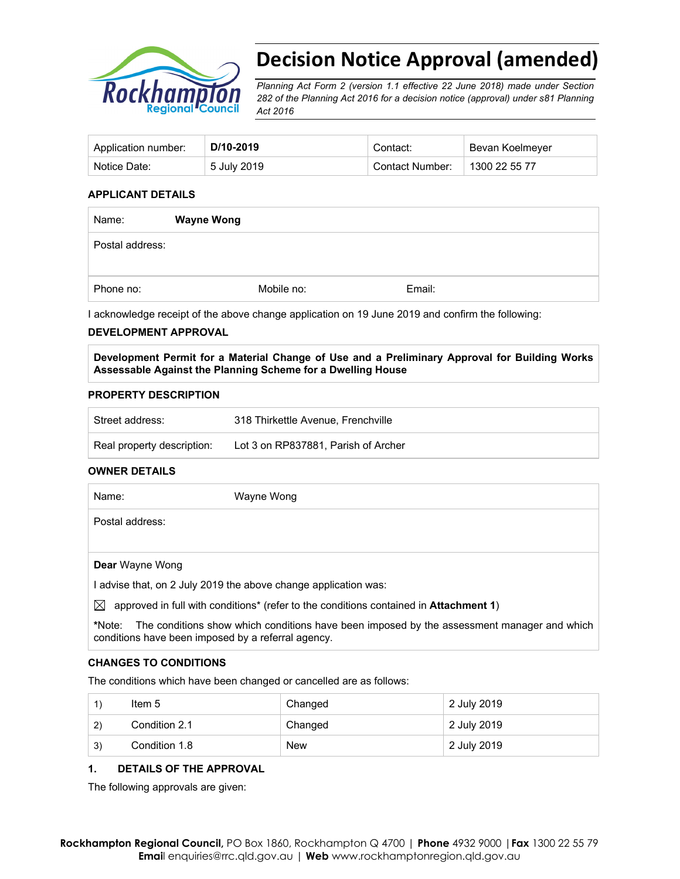

# **Decision Notice Approval (amended)**

*Planning Act Form 2 (version 1.1 effective 22 June 2018) made under Section 282 of the Planning Act 2016 for a decision notice (approval) under s81 Planning Act 2016* 

| Application number: | D/10-2019   | Contact:        | Bevan Koelmeyer |
|---------------------|-------------|-----------------|-----------------|
| Notice Date:        | 5 July 2019 | Contact Number: | 1300 22 55 77   |

#### **APPLICANT DETAILS**

| Name:           | <b>Wayne Wong</b> |        |  |
|-----------------|-------------------|--------|--|
| Postal address: |                   |        |  |
|                 |                   |        |  |
| Phone no:       | Mobile no:        | Email: |  |

I acknowledge receipt of the above change application on 19 June 2019 and confirm the following:

#### **DEVELOPMENT APPROVAL**

**Development Permit for a Material Change of Use and a Preliminary Approval for Building Works Assessable Against the Planning Scheme for a Dwelling House** 

#### **PROPERTY DESCRIPTION**

| Street address:            | 318 Thirkettle Avenue, Frenchville  |  |
|----------------------------|-------------------------------------|--|
| Real property description: | Lot 3 on RP837881, Parish of Archer |  |

#### **OWNER DETAILS**

| Name:           | Wayne Wong |
|-----------------|------------|
| Postal address: |            |
|                 |            |

**Dear** Wayne Wong

I advise that, on 2 July 2019 the above change application was:

 $\boxtimes$  approved in full with conditions<sup>\*</sup> (refer to the conditions contained in **Attachment 1**)

**\***Note:The conditions show which conditions have been imposed by the assessment manager and which conditions have been imposed by a referral agency.

#### **CHANGES TO CONDITIONS**

The conditions which have been changed or cancelled are as follows:

|    | Item 5        | Changed    | 2 July 2019 |
|----|---------------|------------|-------------|
| 2) | Condition 2.1 | Changed    | 2 July 2019 |
| 3) | Condition 1.8 | <b>New</b> | 2 July 2019 |

#### **1. DETAILS OF THE APPROVAL**

The following approvals are given: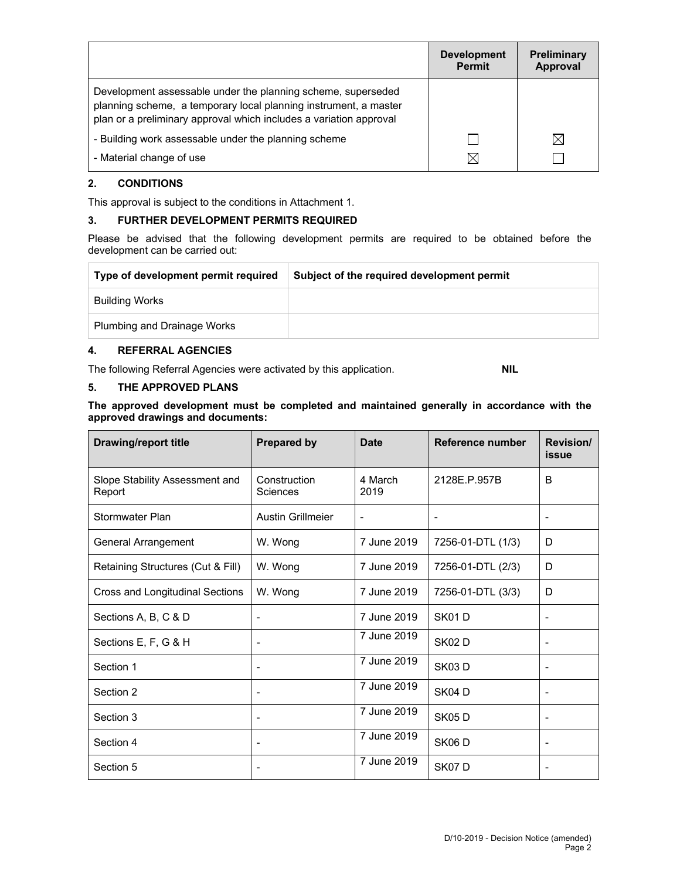|                                                                                                                                                                                                        | <b>Development</b><br><b>Permit</b> | <b>Preliminary</b><br><b>Approval</b> |
|--------------------------------------------------------------------------------------------------------------------------------------------------------------------------------------------------------|-------------------------------------|---------------------------------------|
| Development assessable under the planning scheme, superseded<br>planning scheme, a temporary local planning instrument, a master<br>plan or a preliminary approval which includes a variation approval |                                     |                                       |
| - Building work assessable under the planning scheme                                                                                                                                                   |                                     | $\boxtimes$                           |
| - Material change of use                                                                                                                                                                               | $\boxtimes$                         |                                       |

## **2. CONDITIONS**

This approval is subject to the conditions in Attachment 1.

## **3. FURTHER DEVELOPMENT PERMITS REQUIRED**

Please be advised that the following development permits are required to be obtained before the development can be carried out:

| Type of development permit required | Subject of the required development permit |
|-------------------------------------|--------------------------------------------|
| Building Works                      |                                            |
| Plumbing and Drainage Works         |                                            |

### **4. REFERRAL AGENCIES**

The following Referral Agencies were activated by this application. **NIL**

## **5. THE APPROVED PLANS**

**The approved development must be completed and maintained generally in accordance with the approved drawings and documents:** 

| <b>Drawing/report title</b>              | <b>Prepared by</b>              | <b>Date</b>     | Reference number  | Revision/<br><b>issue</b> |
|------------------------------------------|---------------------------------|-----------------|-------------------|---------------------------|
| Slope Stability Assessment and<br>Report | Construction<br><b>Sciences</b> | 4 March<br>2019 | 2128E.P.957B      | B                         |
| Stormwater Plan                          | <b>Austin Grillmeier</b>        | $\blacksquare$  | -                 | ۰                         |
| <b>General Arrangement</b>               | W. Wong                         | 7 June 2019     | 7256-01-DTL (1/3) | D                         |
| Retaining Structures (Cut & Fill)        | W. Wong                         | 7 June 2019     | 7256-01-DTL (2/3) | D                         |
| Cross and Longitudinal Sections          | W. Wong                         | 7 June 2019     | 7256-01-DTL (3/3) | D                         |
| Sections A, B, C & D                     |                                 | 7 June 2019     | SK01D             |                           |
| Sections E, F, G & H                     | ۰                               | 7 June 2019     | <b>SK02D</b>      |                           |
| Section 1                                | $\blacksquare$                  | 7 June 2019     | <b>SK03D</b>      |                           |
| Section 2                                |                                 | 7 June 2019     | SK04D             |                           |
| Section 3                                | ۰                               | 7 June 2019     | <b>SK05D</b>      | -                         |
| Section 4                                |                                 | 7 June 2019     | <b>SK06D</b>      |                           |
| Section 5                                |                                 | 7 June 2019     | SK07D             |                           |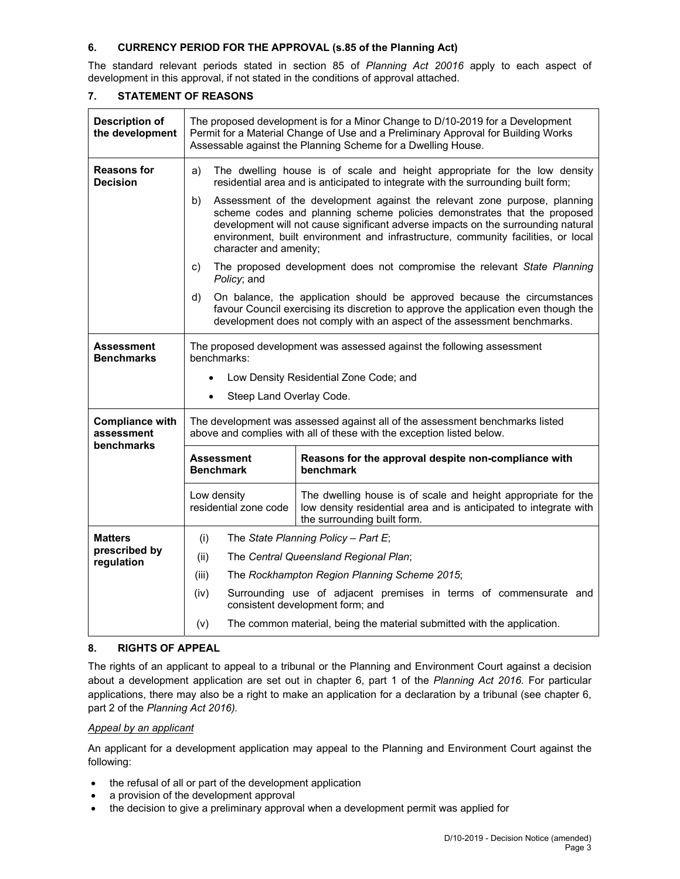## **6. CURRENCY PERIOD FOR THE APPROVAL (s.85 of the Planning Act)**

The standard relevant periods stated in section 85 of *Planning Act 20016* apply to each aspect of development in this approval, if not stated in the conditions of approval attached.

| <b>Description of</b><br>the development           | The proposed development is for a Minor Change to D/10-2019 for a Development<br>Permit for a Material Change of Use and a Preliminary Approval for Building Works<br>Assessable against the Planning Scheme for a Dwelling House.                                                                                                                              |                                                                                                                                                                                                                                             |  |  |  |
|----------------------------------------------------|-----------------------------------------------------------------------------------------------------------------------------------------------------------------------------------------------------------------------------------------------------------------------------------------------------------------------------------------------------------------|---------------------------------------------------------------------------------------------------------------------------------------------------------------------------------------------------------------------------------------------|--|--|--|
| <b>Reasons for</b><br><b>Decision</b>              | The dwelling house is of scale and height appropriate for the low density<br>a)<br>residential area and is anticipated to integrate with the surrounding built form;                                                                                                                                                                                            |                                                                                                                                                                                                                                             |  |  |  |
|                                                    | Assessment of the development against the relevant zone purpose, planning<br>b)<br>scheme codes and planning scheme policies demonstrates that the proposed<br>development will not cause significant adverse impacts on the surrounding natural<br>environment, built environment and infrastructure, community facilities, or local<br>character and amenity; |                                                                                                                                                                                                                                             |  |  |  |
|                                                    | C)<br>Policy; and                                                                                                                                                                                                                                                                                                                                               | The proposed development does not compromise the relevant State Planning                                                                                                                                                                    |  |  |  |
|                                                    | d)                                                                                                                                                                                                                                                                                                                                                              | On balance, the application should be approved because the circumstances<br>favour Council exercising its discretion to approve the application even though the<br>development does not comply with an aspect of the assessment benchmarks. |  |  |  |
| Assessment<br><b>Benchmarks</b>                    | benchmarks:                                                                                                                                                                                                                                                                                                                                                     | The proposed development was assessed against the following assessment                                                                                                                                                                      |  |  |  |
|                                                    |                                                                                                                                                                                                                                                                                                                                                                 | Low Density Residential Zone Code; and                                                                                                                                                                                                      |  |  |  |
|                                                    | Steep Land Overlay Code.<br>$\bullet$                                                                                                                                                                                                                                                                                                                           |                                                                                                                                                                                                                                             |  |  |  |
| <b>Compliance with</b><br>assessment<br>benchmarks |                                                                                                                                                                                                                                                                                                                                                                 | The development was assessed against all of the assessment benchmarks listed<br>above and complies with all of these with the exception listed below.                                                                                       |  |  |  |
|                                                    | Assessment<br><b>Benchmark</b>                                                                                                                                                                                                                                                                                                                                  | Reasons for the approval despite non-compliance with<br>benchmark                                                                                                                                                                           |  |  |  |
|                                                    | Low density<br>The dwelling house is of scale and height appropriate for the<br>residential zone code<br>low density residential area and is anticipated to integrate with<br>the surrounding built form.                                                                                                                                                       |                                                                                                                                                                                                                                             |  |  |  |
| <b>Matters</b>                                     | (i)<br>The State Planning Policy - Part E;                                                                                                                                                                                                                                                                                                                      |                                                                                                                                                                                                                                             |  |  |  |
| prescribed by<br>regulation                        | (ii)                                                                                                                                                                                                                                                                                                                                                            | The Central Queensland Regional Plan;                                                                                                                                                                                                       |  |  |  |
|                                                    | (iii)                                                                                                                                                                                                                                                                                                                                                           | The Rockhampton Region Planning Scheme 2015;                                                                                                                                                                                                |  |  |  |
|                                                    | (iv)<br>consistent development form; and                                                                                                                                                                                                                                                                                                                        | Surrounding use of adjacent premises in terms of commensurate and                                                                                                                                                                           |  |  |  |
|                                                    | (v)                                                                                                                                                                                                                                                                                                                                                             | The common material, being the material submitted with the application.                                                                                                                                                                     |  |  |  |

### **7. STATEMENT OF REASONS**

### **8. RIGHTS OF APPEAL**

The rights of an applicant to appeal to a tribunal or the Planning and Environment Court against a decision about a development application are set out in chapter 6, part 1 of the *Planning Act 2016*. For particular applications, there may also be a right to make an application for a declaration by a tribunal (see chapter 6, part 2 of the *Planning Act 2016).*

### *Appeal by an applicant*

An applicant for a development application may appeal to the Planning and Environment Court against the following:

- the refusal of all or part of the development application
- a provision of the development approval
- the decision to give a preliminary approval when a development permit was applied for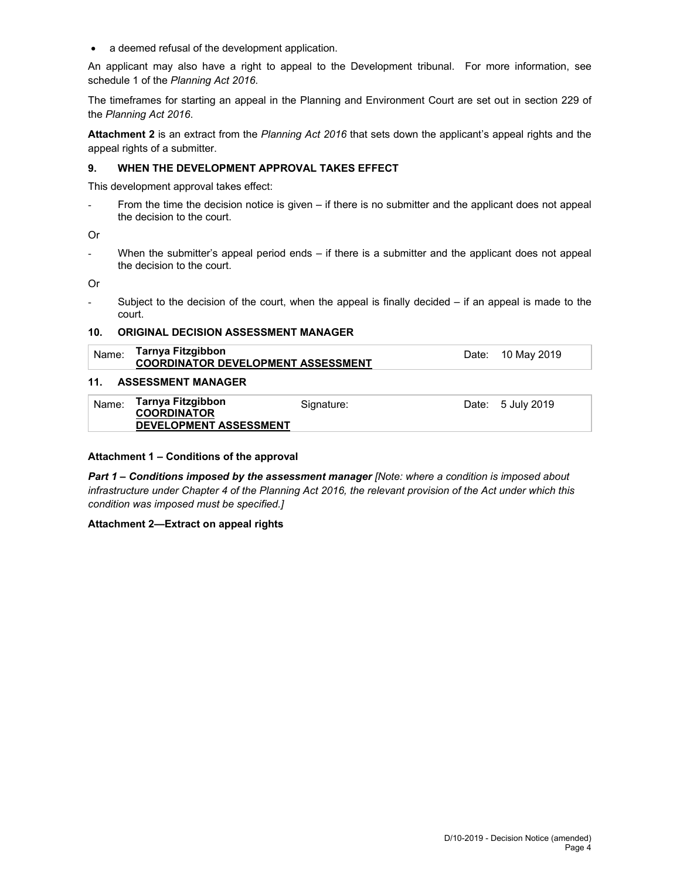• a deemed refusal of the development application.

An applicant may also have a right to appeal to the Development tribunal. For more information, see schedule 1 of the *Planning Act 2016*.

The timeframes for starting an appeal in the Planning and Environment Court are set out in section 229 of the *Planning Act 2016*.

**Attachment 2** is an extract from the *Planning Act 2016* that sets down the applicant's appeal rights and the appeal rights of a submitter.

#### **9. WHEN THE DEVELOPMENT APPROVAL TAKES EFFECT**

This development approval takes effect:

From the time the decision notice is given – if there is no submitter and the applicant does not appeal the decision to the court.

Or

- When the submitter's appeal period ends – if there is a submitter and the applicant does not appeal the decision to the court.

Or

- Subject to the decision of the court, when the appeal is finally decided – if an appeal is made to the court.

#### **10. ORIGINAL DECISION ASSESSMENT MANAGER**

| Name: | Tarnya Fitzgibbon<br><b>COORDINATOR DEVELOPMENT ASSESSMENT</b>           |            | Date: 10 May 2019 |
|-------|--------------------------------------------------------------------------|------------|-------------------|
| 11.   | <b>ASSESSMENT MANAGER</b>                                                |            |                   |
| Name: | Tarnya Fitzgibbon<br><b>COORDINATOR</b><br><b>DEVELOPMENT ASSESSMENT</b> | Signature: | Date: 5 July 2019 |

#### **Attachment 1 – Conditions of the approval**

*Part 1* **–** *Conditions imposed by the assessment manager [Note: where a condition is imposed about infrastructure under Chapter 4 of the Planning Act 2016, the relevant provision of the Act under which this condition was imposed must be specified.]*

#### **Attachment 2—Extract on appeal rights**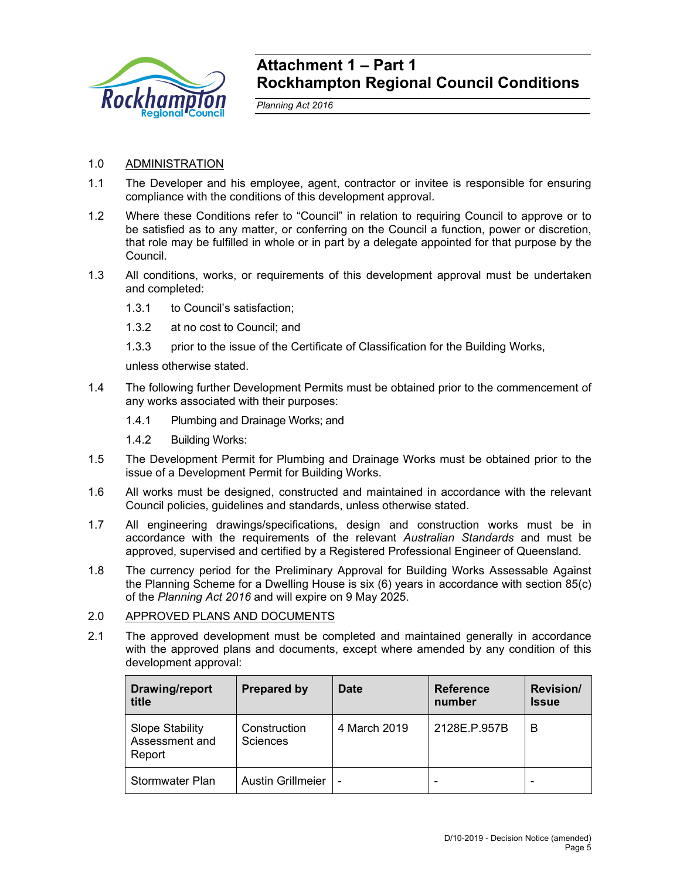

## **Attachment 1 – Part 1 Rockhampton Regional Council Conditions**

*Planning Act 2016* 

## 1.0 ADMINISTRATION

- 1.1 The Developer and his employee, agent, contractor or invitee is responsible for ensuring compliance with the conditions of this development approval.
- 1.2 Where these Conditions refer to "Council" in relation to requiring Council to approve or to be satisfied as to any matter, or conferring on the Council a function, power or discretion, that role may be fulfilled in whole or in part by a delegate appointed for that purpose by the Council.
- 1.3 All conditions, works, or requirements of this development approval must be undertaken and completed:
	- 1.3.1 to Council's satisfaction;
	- 1.3.2 at no cost to Council; and
	- 1.3.3 prior to the issue of the Certificate of Classification for the Building Works,

unless otherwise stated.

- 1.4 The following further Development Permits must be obtained prior to the commencement of any works associated with their purposes:
	- 1.4.1 Plumbing and Drainage Works; and
	- 1.4.2 Building Works:
- 1.5 The Development Permit for Plumbing and Drainage Works must be obtained prior to the issue of a Development Permit for Building Works.
- 1.6 All works must be designed, constructed and maintained in accordance with the relevant Council policies, guidelines and standards, unless otherwise stated.
- 1.7 All engineering drawings/specifications, design and construction works must be in accordance with the requirements of the relevant *Australian Standards* and must be approved, supervised and certified by a Registered Professional Engineer of Queensland.
- 1.8 The currency period for the Preliminary Approval for Building Works Assessable Against the Planning Scheme for a Dwelling House is six (6) years in accordance with section 85(c) of the *Planning Act 2016* and will expire on 9 May 2025.
- 2.0 APPROVED PLANS AND DOCUMENTS
- 2.1 The approved development must be completed and maintained generally in accordance with the approved plans and documents, except where amended by any condition of this development approval:

| Drawing/report<br>title                            | <b>Prepared by</b>       | Date         | <b>Reference</b><br>number | <b>Revision/</b><br><b>Issue</b> |
|----------------------------------------------------|--------------------------|--------------|----------------------------|----------------------------------|
| <b>Slope Stability</b><br>Assessment and<br>Report | Construction<br>Sciences | 4 March 2019 | 2128E.P.957B               | в                                |
| Stormwater Plan                                    | <b>Austin Grillmeier</b> | -            |                            |                                  |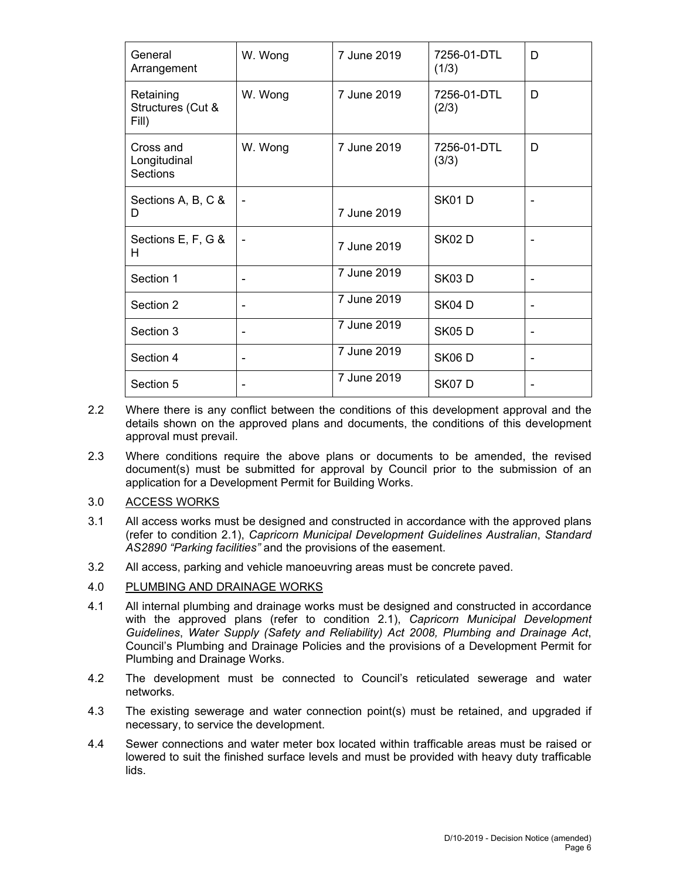| General<br>Arrangement                  | W. Wong | 7 June 2019 | 7256-01-DTL<br>(1/3) | D |
|-----------------------------------------|---------|-------------|----------------------|---|
| Retaining<br>Structures (Cut &<br>Fill) | W. Wong | 7 June 2019 | 7256-01-DTL<br>(2/3) | D |
| Cross and<br>Longitudinal<br>Sections   | W. Wong | 7 June 2019 | 7256-01-DTL<br>(3/3) | D |
| Sections A, B, C &<br>D                 |         | 7 June 2019 | <b>SK01D</b>         |   |
| Sections E, F, G &<br>н                 |         | 7 June 2019 | <b>SK02D</b>         |   |
| Section 1                               |         | 7 June 2019 | <b>SK03D</b>         |   |
| Section 2                               |         | 7 June 2019 | SK04D                |   |
| Section 3                               |         | 7 June 2019 | <b>SK05D</b>         |   |
| Section 4                               |         | 7 June 2019 | <b>SK06 D</b>        |   |
| Section 5                               |         | 7 June 2019 | SK07D                |   |

- 2.2 Where there is any conflict between the conditions of this development approval and the details shown on the approved plans and documents, the conditions of this development approval must prevail.
- 2.3 Where conditions require the above plans or documents to be amended, the revised document(s) must be submitted for approval by Council prior to the submission of an application for a Development Permit for Building Works.
- 3.0 ACCESS WORKS
- 3.1 All access works must be designed and constructed in accordance with the approved plans (refer to condition 2.1), *Capricorn Municipal Development Guidelines Australian*, *Standard AS2890 "Parking facilities"* and the provisions of the easement.
- 3.2 All access, parking and vehicle manoeuvring areas must be concrete paved.
- 4.0 PLUMBING AND DRAINAGE WORKS
- 4.1 All internal plumbing and drainage works must be designed and constructed in accordance with the approved plans (refer to condition 2.1), *Capricorn Municipal Development Guidelines*, *Water Supply (Safety and Reliability) Act 2008, Plumbing and Drainage Act*, Council's Plumbing and Drainage Policies and the provisions of a Development Permit for Plumbing and Drainage Works.
- 4.2 The development must be connected to Council's reticulated sewerage and water networks.
- 4.3 The existing sewerage and water connection point(s) must be retained, and upgraded if necessary, to service the development.
- 4.4 Sewer connections and water meter box located within trafficable areas must be raised or lowered to suit the finished surface levels and must be provided with heavy duty trafficable lids.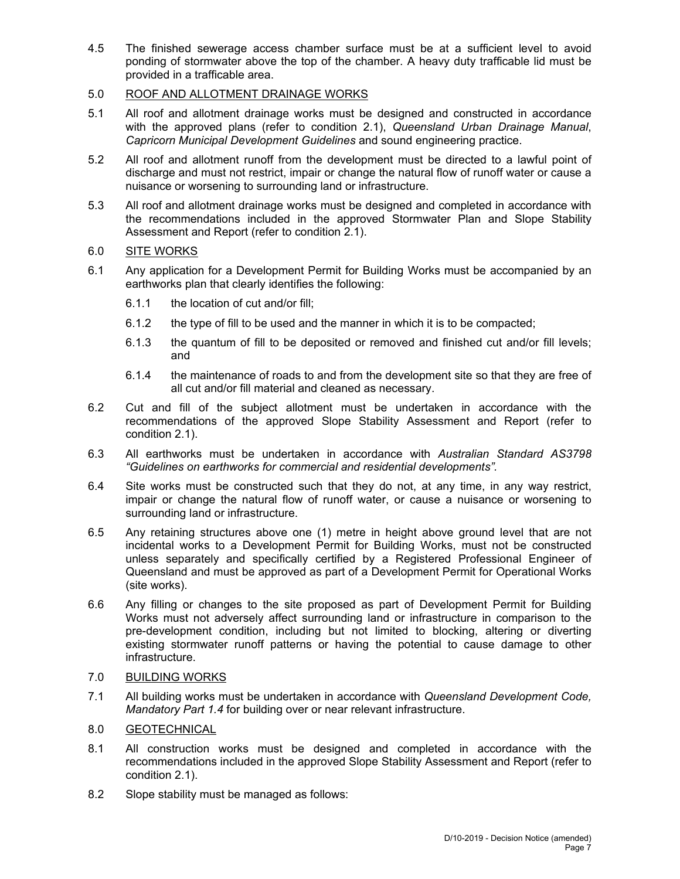4.5 The finished sewerage access chamber surface must be at a sufficient level to avoid ponding of stormwater above the top of the chamber. A heavy duty trafficable lid must be provided in a trafficable area.

## 5.0 ROOF AND ALLOTMENT DRAINAGE WORKS

- 5.1 All roof and allotment drainage works must be designed and constructed in accordance with the approved plans (refer to condition 2.1), *Queensland Urban Drainage Manual*, *Capricorn Municipal Development Guidelines* and sound engineering practice.
- 5.2 All roof and allotment runoff from the development must be directed to a lawful point of discharge and must not restrict, impair or change the natural flow of runoff water or cause a nuisance or worsening to surrounding land or infrastructure.
- 5.3 All roof and allotment drainage works must be designed and completed in accordance with the recommendations included in the approved Stormwater Plan and Slope Stability Assessment and Report (refer to condition 2.1).

## 6.0 SITE WORKS

- 6.1 Any application for a Development Permit for Building Works must be accompanied by an earthworks plan that clearly identifies the following:
	- 6.1.1 the location of cut and/or fill;
	- 6.1.2 the type of fill to be used and the manner in which it is to be compacted;
	- 6.1.3 the quantum of fill to be deposited or removed and finished cut and/or fill levels; and
	- 6.1.4 the maintenance of roads to and from the development site so that they are free of all cut and/or fill material and cleaned as necessary.
- 6.2 Cut and fill of the subject allotment must be undertaken in accordance with the recommendations of the approved Slope Stability Assessment and Report (refer to condition 2.1).
- 6.3 All earthworks must be undertaken in accordance with *Australian Standard AS3798 "Guidelines on earthworks for commercial and residential developments".*
- 6.4 Site works must be constructed such that they do not, at any time, in any way restrict, impair or change the natural flow of runoff water, or cause a nuisance or worsening to surrounding land or infrastructure.
- 6.5 Any retaining structures above one (1) metre in height above ground level that are not incidental works to a Development Permit for Building Works, must not be constructed unless separately and specifically certified by a Registered Professional Engineer of Queensland and must be approved as part of a Development Permit for Operational Works (site works).
- 6.6 Any filling or changes to the site proposed as part of Development Permit for Building Works must not adversely affect surrounding land or infrastructure in comparison to the pre-development condition, including but not limited to blocking, altering or diverting existing stormwater runoff patterns or having the potential to cause damage to other infrastructure.

## 7.0 BUILDING WORKS

7.1 All building works must be undertaken in accordance with *Queensland Development Code, Mandatory Part 1.4* for building over or near relevant infrastructure.

## 8.0 GEOTECHNICAL

- 8.1 All construction works must be designed and completed in accordance with the recommendations included in the approved Slope Stability Assessment and Report (refer to condition 2.1).
- 8.2 Slope stability must be managed as follows: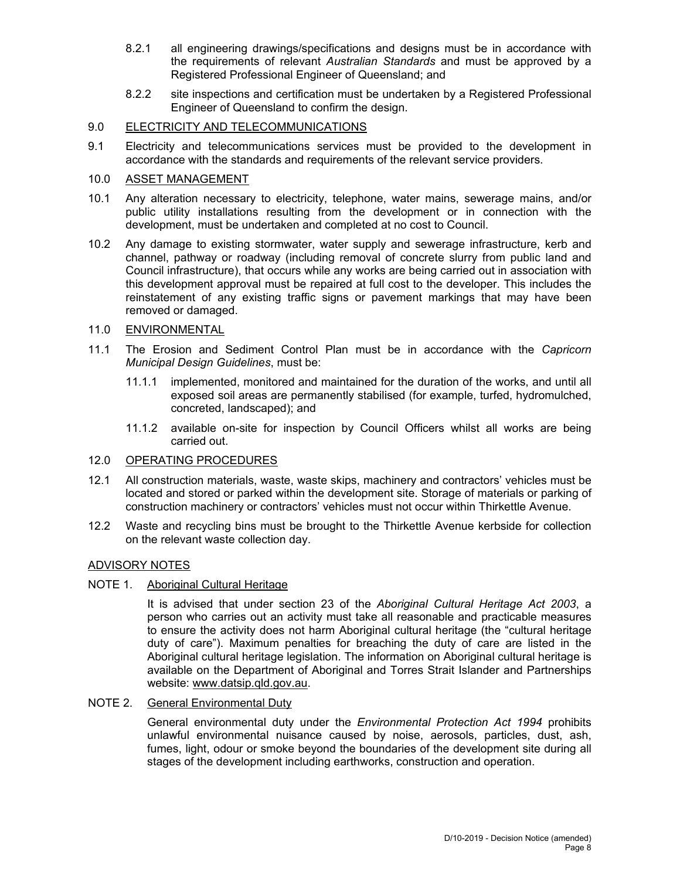- 8.2.1 all engineering drawings/specifications and designs must be in accordance with the requirements of relevant *Australian Standards* and must be approved by a Registered Professional Engineer of Queensland; and
- 8.2.2 site inspections and certification must be undertaken by a Registered Professional Engineer of Queensland to confirm the design.

### 9.0 ELECTRICITY AND TELECOMMUNICATIONS

9.1 Electricity and telecommunications services must be provided to the development in accordance with the standards and requirements of the relevant service providers.

## 10.0 ASSET MANAGEMENT

- 10.1 Any alteration necessary to electricity, telephone, water mains, sewerage mains, and/or public utility installations resulting from the development or in connection with the development, must be undertaken and completed at no cost to Council.
- 10.2 Any damage to existing stormwater, water supply and sewerage infrastructure, kerb and channel, pathway or roadway (including removal of concrete slurry from public land and Council infrastructure), that occurs while any works are being carried out in association with this development approval must be repaired at full cost to the developer. This includes the reinstatement of any existing traffic signs or pavement markings that may have been removed or damaged.

## 11.0 ENVIRONMENTAL

- 11.1 The Erosion and Sediment Control Plan must be in accordance with the *Capricorn Municipal Design Guidelines*, must be:
	- 11.1.1 implemented, monitored and maintained for the duration of the works, and until all exposed soil areas are permanently stabilised (for example, turfed, hydromulched, concreted, landscaped); and
	- 11.1.2 available on-site for inspection by Council Officers whilst all works are being carried out.

## 12.0 OPERATING PROCEDURES

- 12.1 All construction materials, waste, waste skips, machinery and contractors' vehicles must be located and stored or parked within the development site. Storage of materials or parking of construction machinery or contractors' vehicles must not occur within Thirkettle Avenue.
- 12.2 Waste and recycling bins must be brought to the Thirkettle Avenue kerbside for collection on the relevant waste collection day.

### ADVISORY NOTES

## NOTE 1. Aboriginal Cultural Heritage

It is advised that under section 23 of the *Aboriginal Cultural Heritage Act 2003*, a person who carries out an activity must take all reasonable and practicable measures to ensure the activity does not harm Aboriginal cultural heritage (the "cultural heritage duty of care"). Maximum penalties for breaching the duty of care are listed in the Aboriginal cultural heritage legislation. The information on Aboriginal cultural heritage is available on the Department of Aboriginal and Torres Strait Islander and Partnerships website: www.datsip.qld.gov.au.

### NOTE 2. General Environmental Duty

General environmental duty under the *Environmental Protection Act 1994* prohibits unlawful environmental nuisance caused by noise, aerosols, particles, dust, ash, fumes, light, odour or smoke beyond the boundaries of the development site during all stages of the development including earthworks, construction and operation.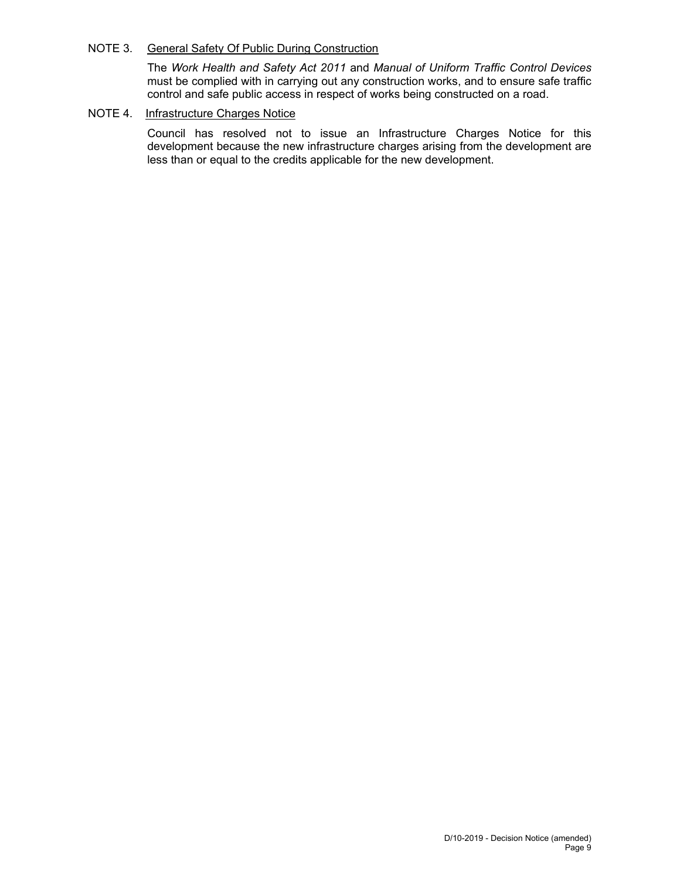## NOTE 3. General Safety Of Public During Construction

The *Work Health and Safety Act 2011* and *Manual of Uniform Traffic Control Devices* must be complied with in carrying out any construction works, and to ensure safe traffic control and safe public access in respect of works being constructed on a road.

## NOTE 4. Infrastructure Charges Notice

Council has resolved not to issue an Infrastructure Charges Notice for this development because the new infrastructure charges arising from the development are less than or equal to the credits applicable for the new development.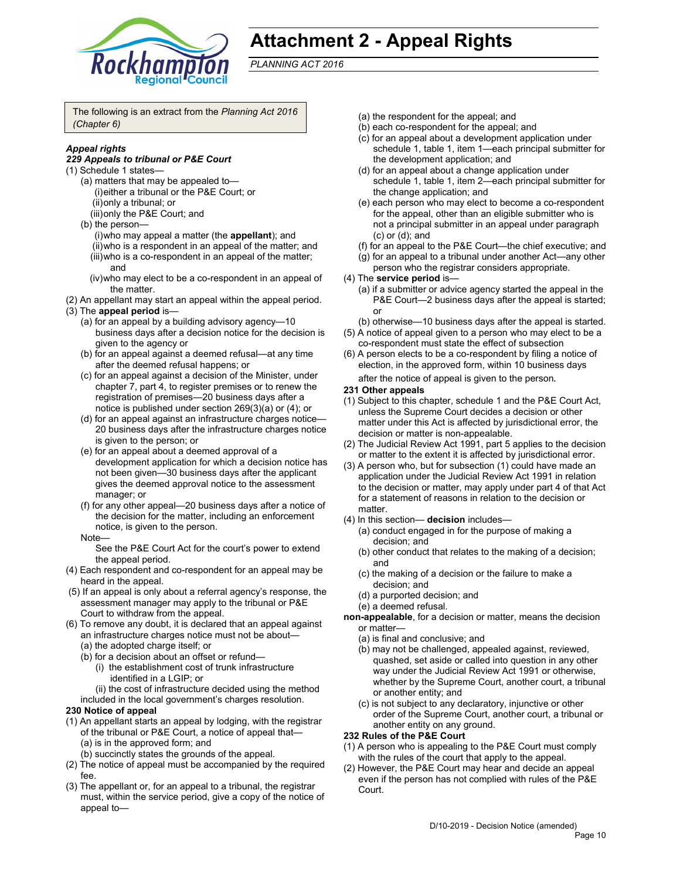

# **Attachment 2 - Appeal Rights**

*PLANNING ACT 2016*

The following is an extract from the *Planning Act 2016 (Chapter 6)*

## *Appeal rights*

#### *229 Appeals to tribunal or P&E Court*

- (1) Schedule 1 states—
	- (a) matters that may be appealed to— (i) either a tribunal or the P&E Court; or (ii) only a tribunal; or
		- (iii) only the P&E Court; and
	- (b) the person—
		- (i) who may appeal a matter (the **appellant**); and
		- (ii) who is a respondent in an appeal of the matter; and
		- (iii) who is a co-respondent in an appeal of the matter; and
		- (iv) who may elect to be a co-respondent in an appeal of the matter.
- (2) An appellant may start an appeal within the appeal period.
- (3) The **appeal period** is—
	- (a) for an appeal by a building advisory agency—10 business days after a decision notice for the decision is given to the agency or
	- (b) for an appeal against a deemed refusal—at any time after the deemed refusal happens; or
	- (c) for an appeal against a decision of the Minister, under chapter 7, part 4, to register premises or to renew the registration of premises—20 business days after a notice is published under section 269(3)(a) or (4); or
	- (d) for an appeal against an infrastructure charges notice— 20 business days after the infrastructure charges notice is given to the person; or
	- (e) for an appeal about a deemed approval of a development application for which a decision notice has not been given—30 business days after the applicant gives the deemed approval notice to the assessment manager; or
	- (f) for any other appeal—20 business days after a notice of the decision for the matter, including an enforcement notice, is given to the person.
	- Note—

See the P&E Court Act for the court's power to extend the appeal period.

- (4) Each respondent and co-respondent for an appeal may be heard in the appeal.
- (5) If an appeal is only about a referral agency's response, the assessment manager may apply to the tribunal or P&E Court to withdraw from the appeal.
- (6) To remove any doubt, it is declared that an appeal against an infrastructure charges notice must not be about—
	- (a) the adopted charge itself; or
	- (b) for a decision about an offset or refund—
		- (i) the establishment cost of trunk infrastructure identified in a LGIP; or
	- (ii) the cost of infrastructure decided using the method included in the local government's charges resolution.

#### **230 Notice of appeal**

- (1) An appellant starts an appeal by lodging, with the registrar of the tribunal or P&E Court, a notice of appeal that— (a) is in the approved form; and
	- (b) succinctly states the grounds of the appeal.
- (2) The notice of appeal must be accompanied by the required fee.
- (3) The appellant or, for an appeal to a tribunal, the registrar must, within the service period, give a copy of the notice of appeal to—
- (a) the respondent for the appeal; and
- (b) each co-respondent for the appeal; and
- (c) for an appeal about a development application under schedule 1, table 1, item 1—each principal submitter for the development application; and
- (d) for an appeal about a change application under schedule 1, table 1, item 2—each principal submitter for the change application; and
- (e) each person who may elect to become a co-respondent for the appeal, other than an eligible submitter who is not a principal submitter in an appeal under paragraph (c) or (d); and
- (f) for an appeal to the P&E Court—the chief executive; and
- (g) for an appeal to a tribunal under another Act—any other person who the registrar considers appropriate.
- (4) The **service period** is—
	- (a) if a submitter or advice agency started the appeal in the P&E Court-2 business days after the appeal is started; or
	- (b) otherwise—10 business days after the appeal is started.
- (5) A notice of appeal given to a person who may elect to be a co-respondent must state the effect of subsection
- (6) A person elects to be a co-respondent by filing a notice of election, in the approved form, within 10 business days

after the notice of appeal is given to the person*.*

- **231 Other appeals**
- (1) Subject to this chapter, schedule 1 and the P&E Court Act, unless the Supreme Court decides a decision or other matter under this Act is affected by jurisdictional error, the decision or matter is non-appealable.
- (2) The Judicial Review Act 1991, part 5 applies to the decision or matter to the extent it is affected by jurisdictional error.
- (3) A person who, but for subsection (1) could have made an application under the Judicial Review Act 1991 in relation to the decision or matter, may apply under part 4 of that Act for a statement of reasons in relation to the decision or matter.
- (4) In this section— **decision** includes—
	- (a) conduct engaged in for the purpose of making a decision; and
	- (b) other conduct that relates to the making of a decision; and
	- (c) the making of a decision or the failure to make a decision; and
	- (d) a purported decision; and
	- (e) a deemed refusal.

**non-appealable**, for a decision or matter, means the decision or matter—

- (a) is final and conclusive; and
- (b) may not be challenged, appealed against, reviewed, quashed, set aside or called into question in any other way under the Judicial Review Act 1991 or otherwise, whether by the Supreme Court, another court, a tribunal or another entity; and
- (c) is not subject to any declaratory, injunctive or other order of the Supreme Court, another court, a tribunal or another entity on any ground.

#### **232 Rules of the P&E Court**

- (1) A person who is appealing to the P&E Court must comply with the rules of the court that apply to the appeal.
- (2) However, the P&E Court may hear and decide an appeal even if the person has not complied with rules of the P&E Court.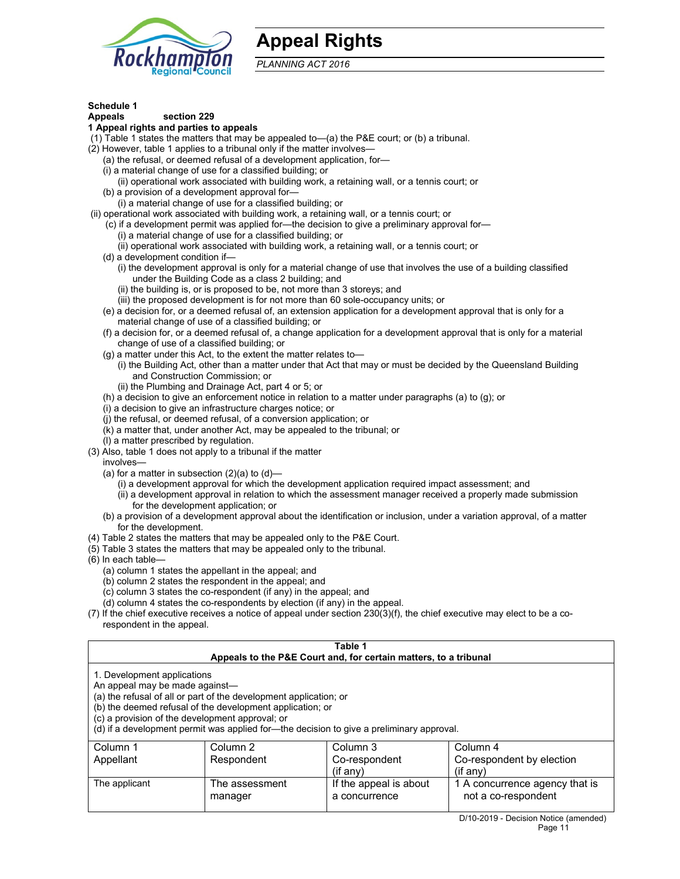

## **Appeal Rights**

*PLANNING ACT 2016*

## **Schedule 1**

## **Appeals section 229**

## **1 Appeal rights and parties to appeals**

(1) Table 1 states the matters that may be appealed to—(a) the P&E court; or (b) a tribunal.

- (2) However, table 1 applies to a tribunal only if the matter involves—
	- (a) the refusal, or deemed refusal of a development application, for—
	- (i) a material change of use for a classified building; or
	- (ii) operational work associated with building work, a retaining wall, or a tennis court; or
	- (b) a provision of a development approval for—
	- (i) a material change of use for a classified building; or
- (ii) operational work associated with building work, a retaining wall, or a tennis court; or
	- (c) if a development permit was applied for—the decision to give a preliminary approval for—
		- (i) a material change of use for a classified building; or
		- (ii) operational work associated with building work, a retaining wall, or a tennis court; or
	- (d) a development condition if—
		- (i) the development approval is only for a material change of use that involves the use of a building classified under the Building Code as a class 2 building; and
		- (ii) the building is, or is proposed to be, not more than 3 storeys; and
		- (iii) the proposed development is for not more than 60 sole-occupancy units; or
	- (e) a decision for, or a deemed refusal of, an extension application for a development approval that is only for a material change of use of a classified building; or
	- (f) a decision for, or a deemed refusal of, a change application for a development approval that is only for a material change of use of a classified building; or
	- (g) a matter under this Act, to the extent the matter relates to—
		- (i) the Building Act, other than a matter under that Act that may or must be decided by the Queensland Building and Construction Commission; or
		- (ii) the Plumbing and Drainage Act, part 4 or 5; or
	- (h) a decision to give an enforcement notice in relation to a matter under paragraphs (a) to (g); or
	- (i) a decision to give an infrastructure charges notice; or
	- (j) the refusal, or deemed refusal, of a conversion application; or
	- (k) a matter that, under another Act, may be appealed to the tribunal; or
	- (l) a matter prescribed by regulation.
- (3) Also, table 1 does not apply to a tribunal if the matter

involves—

- (a) for a matter in subsection  $(2)(a)$  to  $(d)$ 
	- (i) a development approval for which the development application required impact assessment; and
	- (ii) a development approval in relation to which the assessment manager received a properly made submission for the development application; or
- (b) a provision of a development approval about the identification or inclusion, under a variation approval, of a matter for the development.
- (4) Table 2 states the matters that may be appealed only to the P&E Court.
- (5) Table 3 states the matters that may be appealed only to the tribunal.
- (6) In each table—
	- (a) column 1 states the appellant in the appeal; and
	- (b) column 2 states the respondent in the appeal; and
	- (c) column 3 states the co-respondent (if any) in the appeal; and
	- (d) column 4 states the co-respondents by election (if any) in the appeal.
- (7) If the chief executive receives a notice of appeal under section 230(3)(f), the chief executive may elect to be a corespondent in the appeal.

| Table 1<br>Appeals to the P&E Court and, for certain matters, to a tribunal                                                                                                                                                                                                                                                                    |                           |                                         |                                                       |
|------------------------------------------------------------------------------------------------------------------------------------------------------------------------------------------------------------------------------------------------------------------------------------------------------------------------------------------------|---------------------------|-----------------------------------------|-------------------------------------------------------|
| 1. Development applications<br>An appeal may be made against-<br>(a) the refusal of all or part of the development application; or<br>(b) the deemed refusal of the development application; or<br>(c) a provision of the development approval; or<br>(d) if a development permit was applied for-the decision to give a preliminary approval. |                           |                                         |                                                       |
| Column 1<br>Appellant                                                                                                                                                                                                                                                                                                                          | Column 2<br>Respondent    | Column 3<br>Co-respondent               | Column 4<br>Co-respondent by election                 |
|                                                                                                                                                                                                                                                                                                                                                |                           | $(if$ any)                              | $($ if any $)$                                        |
| The applicant                                                                                                                                                                                                                                                                                                                                  | The assessment<br>manager | If the appeal is about<br>a concurrence | 1 A concurrence agency that is<br>not a co-respondent |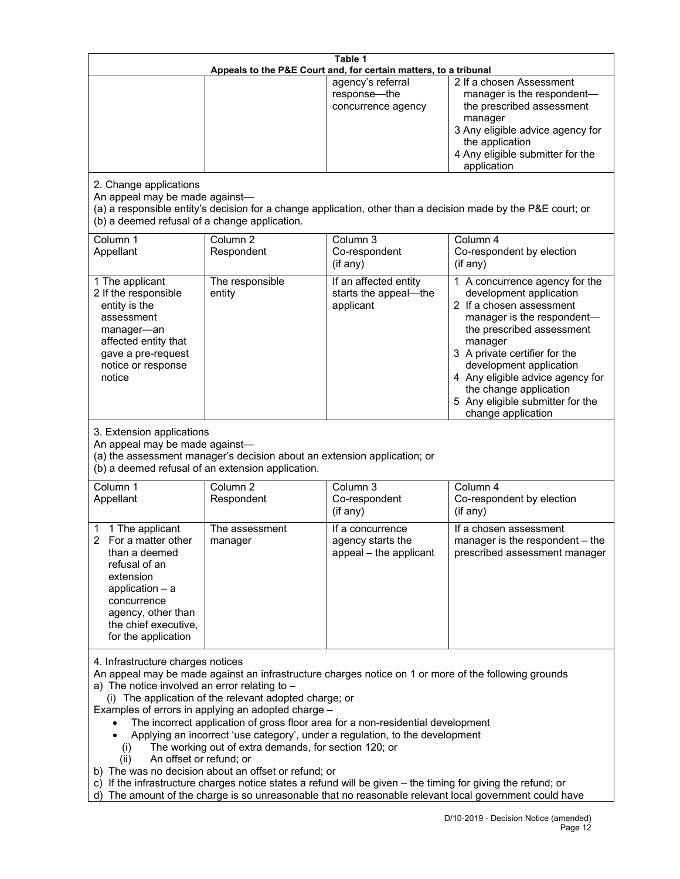| Table 1<br>Appeals to the P&E Court and, for certain matters, to a tribunal                                                                                                                                                                                                                                                                                                                                                                                                                                                                                                                                                                                                                                                                                                                                                                                          |                                   |                                                                 |                                                                                                                                                                                                                                                                                                                                                 |
|----------------------------------------------------------------------------------------------------------------------------------------------------------------------------------------------------------------------------------------------------------------------------------------------------------------------------------------------------------------------------------------------------------------------------------------------------------------------------------------------------------------------------------------------------------------------------------------------------------------------------------------------------------------------------------------------------------------------------------------------------------------------------------------------------------------------------------------------------------------------|-----------------------------------|-----------------------------------------------------------------|-------------------------------------------------------------------------------------------------------------------------------------------------------------------------------------------------------------------------------------------------------------------------------------------------------------------------------------------------|
|                                                                                                                                                                                                                                                                                                                                                                                                                                                                                                                                                                                                                                                                                                                                                                                                                                                                      |                                   | agency's referral<br>response-the<br>concurrence agency         | 2 If a chosen Assessment<br>manager is the respondent-<br>the prescribed assessment<br>manager<br>3 Any eligible advice agency for<br>the application<br>4 Any eligible submitter for the<br>application                                                                                                                                        |
| 2. Change applications<br>An appeal may be made against-<br>(a) a responsible entity's decision for a change application, other than a decision made by the P&E court; or<br>(b) a deemed refusal of a change application.                                                                                                                                                                                                                                                                                                                                                                                                                                                                                                                                                                                                                                           |                                   |                                                                 |                                                                                                                                                                                                                                                                                                                                                 |
| Column 1<br>Appellant                                                                                                                                                                                                                                                                                                                                                                                                                                                                                                                                                                                                                                                                                                                                                                                                                                                | Column <sub>2</sub><br>Respondent | Column 3<br>Co-respondent<br>(if any)                           | Column 4<br>Co-respondent by election<br>(if any)                                                                                                                                                                                                                                                                                               |
| 1 The applicant<br>2 If the responsible<br>entity is the<br>assessment<br>manager-an<br>affected entity that<br>gave a pre-request<br>notice or response<br>notice                                                                                                                                                                                                                                                                                                                                                                                                                                                                                                                                                                                                                                                                                                   | The responsible<br>entity         | If an affected entity<br>starts the appeal-the<br>applicant     | 1 A concurrence agency for the<br>development application<br>2 If a chosen assessment<br>manager is the respondent-<br>the prescribed assessment<br>manager<br>3 A private certifier for the<br>development application<br>4 Any eligible advice agency for<br>the change application<br>5 Any eligible submitter for the<br>change application |
| 3. Extension applications<br>An appeal may be made against-<br>(a) the assessment manager's decision about an extension application; or<br>(b) a deemed refusal of an extension application.                                                                                                                                                                                                                                                                                                                                                                                                                                                                                                                                                                                                                                                                         |                                   |                                                                 |                                                                                                                                                                                                                                                                                                                                                 |
| Column 1<br>Appellant                                                                                                                                                                                                                                                                                                                                                                                                                                                                                                                                                                                                                                                                                                                                                                                                                                                | Column <sub>2</sub><br>Respondent | Column 3<br>Co-respondent<br>(if any)                           | Column 4<br>Co-respondent by election<br>(if any)                                                                                                                                                                                                                                                                                               |
| 1 The applicant<br>$\mathbf{2}$<br>For a matter other<br>than a deemed<br>refusal of an<br>extension<br>application $-$ a<br>concurrence<br>agency, other than<br>the chief executive,<br>for the application                                                                                                                                                                                                                                                                                                                                                                                                                                                                                                                                                                                                                                                        | The assessment<br>manager         | If a concurrence<br>agency starts the<br>appeal - the applicant | If a chosen assessment<br>manager is the respondent - the<br>prescribed assessment manager                                                                                                                                                                                                                                                      |
| 4. Infrastructure charges notices<br>An appeal may be made against an infrastructure charges notice on 1 or more of the following grounds<br>a) The notice involved an error relating to $-$<br>(i) The application of the relevant adopted charge; or<br>Examples of errors in applying an adopted charge -<br>The incorrect application of gross floor area for a non-residential development<br>Applying an incorrect 'use category', under a regulation, to the development<br>The working out of extra demands, for section 120; or<br>(i)<br>An offset or refund; or<br>(ii)<br>b) The was no decision about an offset or refund; or<br>c) If the infrastructure charges notice states a refund will be given - the timing for giving the refund; or<br>d) The amount of the charge is so unreasonable that no reasonable relevant local government could have |                                   |                                                                 |                                                                                                                                                                                                                                                                                                                                                 |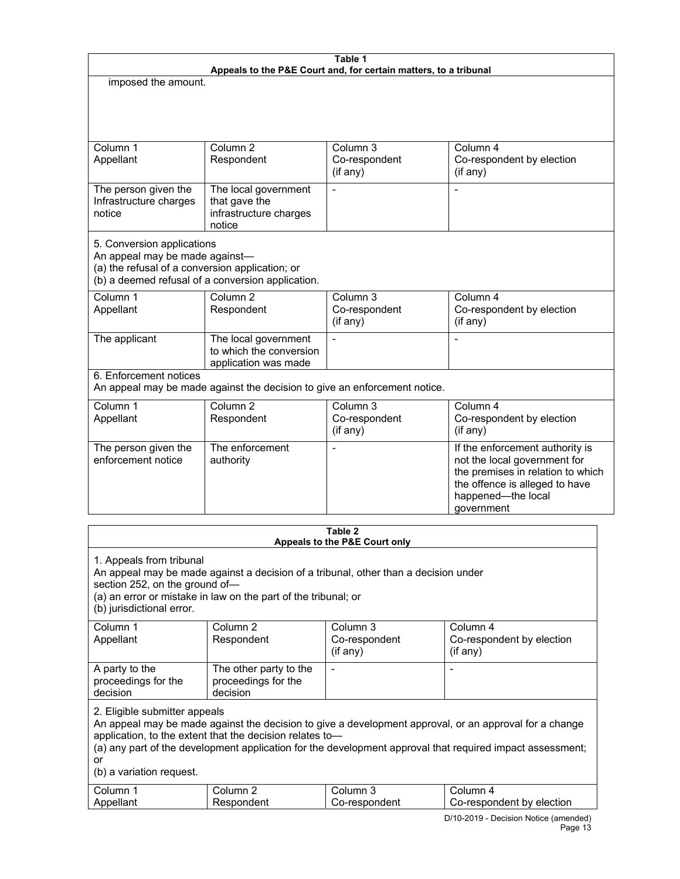| Table 1<br>Appeals to the P&E Court and, for certain matters, to a tribunal                                                                                          |                                                                           |                                       |                                                                                                                                                                            |
|----------------------------------------------------------------------------------------------------------------------------------------------------------------------|---------------------------------------------------------------------------|---------------------------------------|----------------------------------------------------------------------------------------------------------------------------------------------------------------------------|
| imposed the amount.                                                                                                                                                  |                                                                           |                                       |                                                                                                                                                                            |
|                                                                                                                                                                      |                                                                           |                                       |                                                                                                                                                                            |
| Column 1<br>Appellant                                                                                                                                                | Column <sub>2</sub><br>Respondent                                         | Column 3<br>Co-respondent<br>(if any) | Column 4<br>Co-respondent by election<br>$($ if any $)$                                                                                                                    |
| The person given the<br>Infrastructure charges<br>notice                                                                                                             | The local government<br>that gave the<br>infrastructure charges<br>notice |                                       |                                                                                                                                                                            |
| 5. Conversion applications<br>An appeal may be made against-<br>(a) the refusal of a conversion application; or<br>(b) a deemed refusal of a conversion application. |                                                                           |                                       |                                                                                                                                                                            |
| Column 1<br>Appellant                                                                                                                                                | Column <sub>2</sub><br>Respondent                                         | Column 3<br>Co-respondent<br>(if any) | Column 4<br>Co-respondent by election<br>(if any)                                                                                                                          |
| The applicant                                                                                                                                                        | The local government<br>to which the conversion<br>application was made   | $\overline{a}$                        |                                                                                                                                                                            |
| 6. Enforcement notices<br>An appeal may be made against the decision to give an enforcement notice.                                                                  |                                                                           |                                       |                                                                                                                                                                            |
| Column 1<br>Appellant                                                                                                                                                | Column <sub>2</sub><br>Respondent                                         | Column 3<br>Co-respondent<br>(if any) | Column 4<br>Co-respondent by election<br>(if any)                                                                                                                          |
| The person given the<br>enforcement notice                                                                                                                           | The enforcement<br>authority                                              |                                       | If the enforcement authority is<br>not the local government for<br>the premises in relation to which<br>the offence is alleged to have<br>happened-the local<br>government |
| Table 2                                                                                                                                                              |                                                                           |                                       |                                                                                                                                                                            |

| Appeals to the P&E Court only                                                                                                                                                                                                                                                                                                                      |                                                                                                                                                       |                           |                                         |
|----------------------------------------------------------------------------------------------------------------------------------------------------------------------------------------------------------------------------------------------------------------------------------------------------------------------------------------------------|-------------------------------------------------------------------------------------------------------------------------------------------------------|---------------------------|-----------------------------------------|
| 1. Appeals from tribunal<br>section 252, on the ground of-<br>(b) jurisdictional error.                                                                                                                                                                                                                                                            | An appeal may be made against a decision of a tribunal, other than a decision under<br>(a) an error or mistake in law on the part of the tribunal; or |                           |                                         |
| Column 1                                                                                                                                                                                                                                                                                                                                           | Column <sub>2</sub>                                                                                                                                   | Column 3                  | Column 4                                |
| Appellant                                                                                                                                                                                                                                                                                                                                          | Respondent                                                                                                                                            | Co-respondent<br>(if any) | Co-respondent by election<br>$(if$ any) |
| A party to the<br>proceedings for the<br>decision                                                                                                                                                                                                                                                                                                  | The other party to the<br>proceedings for the<br>decision                                                                                             |                           |                                         |
| 2. Eligible submitter appeals<br>An appeal may be made against the decision to give a development approval, or an approval for a change<br>application, to the extent that the decision relates to-<br>(a) any part of the development application for the development approval that required impact assessment;<br>or<br>(b) a variation request. |                                                                                                                                                       |                           |                                         |
| Column 1                                                                                                                                                                                                                                                                                                                                           | Column 2                                                                                                                                              | Column 3                  | Column 4                                |
| Appellant                                                                                                                                                                                                                                                                                                                                          | Respondent                                                                                                                                            | Co-respondent             | Co-respondent by election               |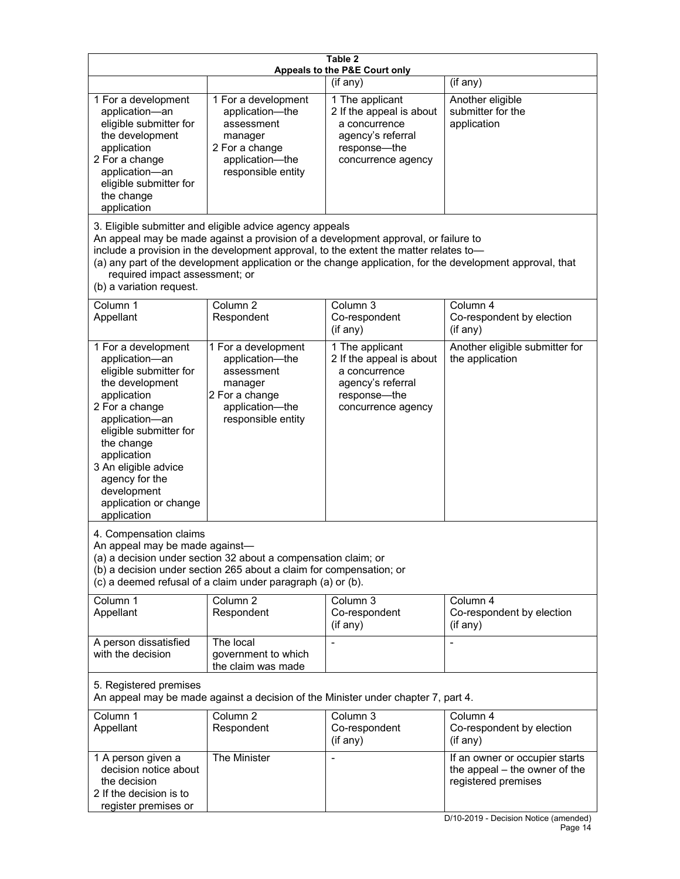| Table 2<br>Appeals to the P&E Court only                                                                                                                                                                                                                                                                                                                                                                           |                                                                                                                            |                                                                                                                         |                                                                                                                                 |  |  |
|--------------------------------------------------------------------------------------------------------------------------------------------------------------------------------------------------------------------------------------------------------------------------------------------------------------------------------------------------------------------------------------------------------------------|----------------------------------------------------------------------------------------------------------------------------|-------------------------------------------------------------------------------------------------------------------------|---------------------------------------------------------------------------------------------------------------------------------|--|--|
| (if any)<br>(if any)                                                                                                                                                                                                                                                                                                                                                                                               |                                                                                                                            |                                                                                                                         |                                                                                                                                 |  |  |
| 1 For a development<br>application-an<br>eligible submitter for<br>the development<br>application<br>2 For a change<br>application-an<br>eligible submitter for<br>the change<br>application                                                                                                                                                                                                                       | 1 For a development<br>application-the<br>assessment<br>manager<br>2 For a change<br>application-the<br>responsible entity | 1 The applicant<br>2 If the appeal is about<br>a concurrence<br>agency's referral<br>response-the<br>concurrence agency | Another eligible<br>submitter for the<br>application                                                                            |  |  |
| 3. Eligible submitter and eligible advice agency appeals<br>An appeal may be made against a provision of a development approval, or failure to<br>include a provision in the development approval, to the extent the matter relates to-<br>(a) any part of the development application or the change application, for the development approval, that<br>required impact assessment; or<br>(b) a variation request. |                                                                                                                            |                                                                                                                         |                                                                                                                                 |  |  |
| Column 1<br>Appellant                                                                                                                                                                                                                                                                                                                                                                                              | Column <sub>2</sub><br>Respondent                                                                                          | Column 3<br>Co-respondent<br>(if any)                                                                                   | Column 4<br>Co-respondent by election<br>(if any)                                                                               |  |  |
| 1 For a development<br>application-an<br>eligible submitter for<br>the development<br>application<br>2 For a change<br>application-an<br>eligible submitter for<br>the change<br>application<br>3 An eligible advice<br>agency for the<br>development<br>application or change<br>application                                                                                                                      | 1 For a development<br>application-the<br>assessment<br>manager<br>2 For a change<br>application-the<br>responsible entity | 1 The applicant<br>2 If the appeal is about<br>a concurrence<br>agency's referral<br>response-the<br>concurrence agency | Another eligible submitter for<br>the application                                                                               |  |  |
| 4. Compensation claims<br>An appeal may be made against-<br>(a) a decision under section 32 about a compensation claim; or<br>(b) a decision under section 265 about a claim for compensation; or<br>(c) a deemed refusal of a claim under paragraph (a) or (b).                                                                                                                                                   |                                                                                                                            |                                                                                                                         |                                                                                                                                 |  |  |
| Column 1<br>Appellant                                                                                                                                                                                                                                                                                                                                                                                              | Column <sub>2</sub><br>Respondent                                                                                          | Column 3<br>Co-respondent<br>(if any)                                                                                   | Column 4<br>Co-respondent by election<br>(if any)                                                                               |  |  |
| A person dissatisfied<br>with the decision                                                                                                                                                                                                                                                                                                                                                                         | The local<br>government to which<br>the claim was made                                                                     |                                                                                                                         |                                                                                                                                 |  |  |
| 5. Registered premises<br>An appeal may be made against a decision of the Minister under chapter 7, part 4.                                                                                                                                                                                                                                                                                                        |                                                                                                                            |                                                                                                                         |                                                                                                                                 |  |  |
| Column 1<br>Appellant                                                                                                                                                                                                                                                                                                                                                                                              | Column <sub>2</sub><br>Respondent                                                                                          | Column 3<br>Co-respondent<br>(if any)                                                                                   | Column 4<br>Co-respondent by election<br>(if any)                                                                               |  |  |
| 1 A person given a<br>decision notice about<br>the decision<br>2 If the decision is to<br>register premises or                                                                                                                                                                                                                                                                                                     | The Minister                                                                                                               |                                                                                                                         | If an owner or occupier starts<br>the appeal – the owner of the<br>registered premises<br>D/10-2019 - Decision Notice (amended) |  |  |

**Page 14**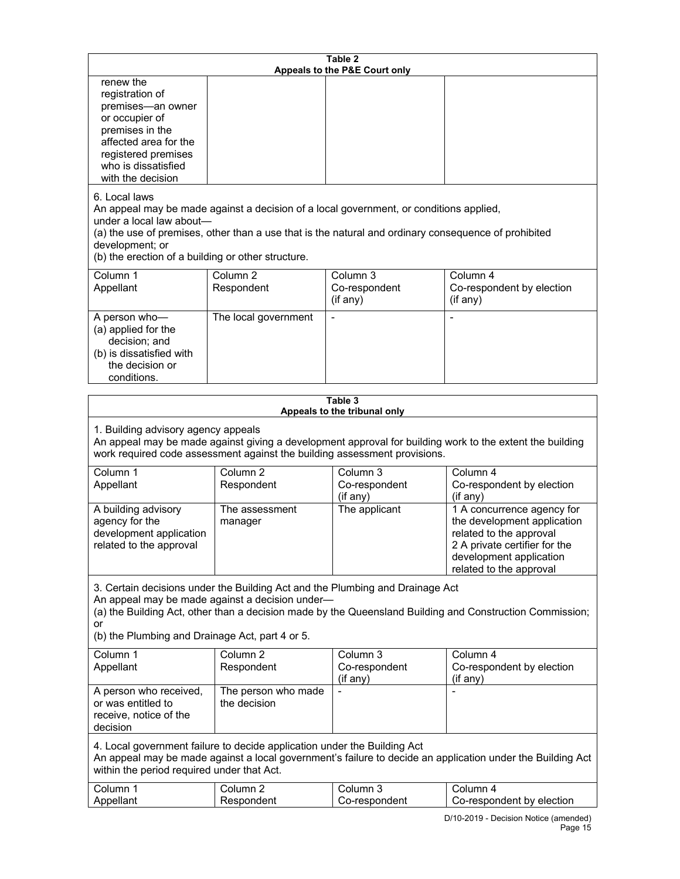| Table 2<br>Appeals to the P&E Court only                                                                                                                                                                                                                                                                             |                                     |                                       |                                                                                                                                                                             |
|----------------------------------------------------------------------------------------------------------------------------------------------------------------------------------------------------------------------------------------------------------------------------------------------------------------------|-------------------------------------|---------------------------------------|-----------------------------------------------------------------------------------------------------------------------------------------------------------------------------|
| renew the<br>registration of<br>premises-an owner<br>or occupier of<br>premises in the<br>affected area for the<br>registered premises<br>who is dissatisfied<br>with the decision                                                                                                                                   |                                     |                                       |                                                                                                                                                                             |
| 6. Local laws<br>An appeal may be made against a decision of a local government, or conditions applied,<br>under a local law about-<br>(a) the use of premises, other than a use that is the natural and ordinary consequence of prohibited<br>development; or<br>(b) the erection of a building or other structure. |                                     |                                       |                                                                                                                                                                             |
| Column 1<br>Appellant                                                                                                                                                                                                                                                                                                | Column <sub>2</sub><br>Respondent   | Column 3<br>Co-respondent<br>(if any) | Column 4<br>Co-respondent by election<br>(if any)                                                                                                                           |
| A person who-<br>(a) applied for the<br>decision; and<br>(b) is dissatisfied with<br>the decision or<br>conditions.                                                                                                                                                                                                  | The local government                |                                       |                                                                                                                                                                             |
|                                                                                                                                                                                                                                                                                                                      |                                     | Table 3                               |                                                                                                                                                                             |
| Appeals to the tribunal only<br>1. Building advisory agency appeals<br>An appeal may be made against giving a development approval for building work to the extent the building<br>work required code assessment against the building assessment provisions.                                                         |                                     |                                       |                                                                                                                                                                             |
| Column 1<br>Appellant                                                                                                                                                                                                                                                                                                | Column <sub>2</sub><br>Respondent   | Column 3<br>Co-respondent<br>(if any) | Column 4<br>Co-respondent by election<br>(if any)                                                                                                                           |
| A building advisory<br>agency for the<br>development application<br>related to the approval                                                                                                                                                                                                                          | The assessment<br>manager           | The applicant                         | 1 A concurrence agency for<br>the development application<br>related to the approval<br>2 A private certifier for the<br>development application<br>related to the approval |
| 3. Certain decisions under the Building Act and the Plumbing and Drainage Act<br>An appeal may be made against a decision under-<br>(a) the Building Act, other than a decision made by the Queensland Building and Construction Commission;<br>or                                                                   |                                     |                                       |                                                                                                                                                                             |
| (b) the Plumbing and Drainage Act, part 4 or 5.                                                                                                                                                                                                                                                                      |                                     |                                       |                                                                                                                                                                             |
| Column 1<br>Appellant                                                                                                                                                                                                                                                                                                | Column 2<br>Respondent              | Column 3<br>Co-respondent<br>(if any) | Column 4<br>Co-respondent by election<br>(if any)                                                                                                                           |
| A person who received,<br>or was entitled to<br>receive, notice of the<br>decision                                                                                                                                                                                                                                   | The person who made<br>the decision |                                       |                                                                                                                                                                             |
| 4. Local government failure to decide application under the Building Act<br>An appeal may be made against a local government's failure to decide an application under the Building Act<br>within the period required under that Act.                                                                                 |                                     |                                       |                                                                                                                                                                             |
| Column 1<br>Appellant                                                                                                                                                                                                                                                                                                | Column <sub>2</sub><br>Respondent   | Column 3<br>Co-respondent             | Column 4<br>Co-respondent by election                                                                                                                                       |